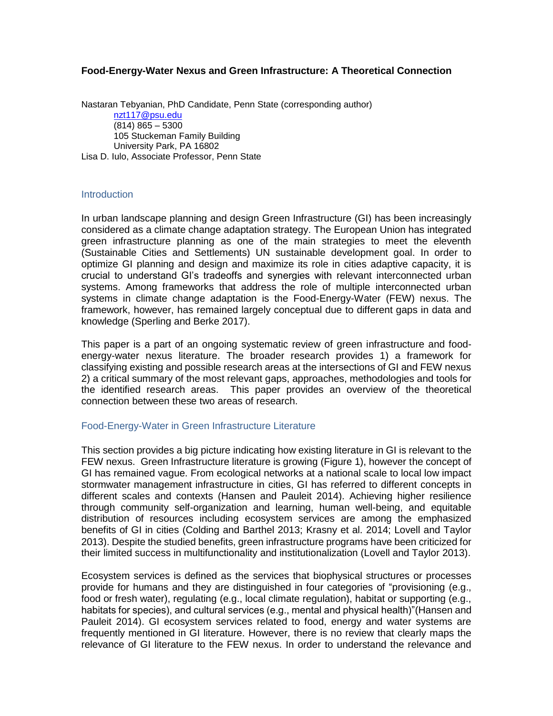## **Food-Energy-Water Nexus and Green Infrastructure: A Theoretical Connection**

Nastaran Tebyanian, PhD Candidate, Penn State (corresponding author) [nzt117@psu.edu](mailto:nzt117@psu.edu)  $(814) 865 - 5300$ 105 Stuckeman Family Building University Park, PA 16802 Lisa D. Iulo, Associate Professor, Penn State

#### **Introduction**

In urban landscape planning and design Green Infrastructure (GI) has been increasingly considered as a climate change adaptation strategy. The European Union has integrated green infrastructure planning as one of the main strategies to meet the eleventh (Sustainable Cities and Settlements) UN sustainable development goal. In order to optimize GI planning and design and maximize its role in cities adaptive capacity, it is crucial to understand GI's tradeoffs and synergies with relevant interconnected urban systems. Among frameworks that address the role of multiple interconnected urban systems in climate change adaptation is the Food-Energy-Water (FEW) nexus. The framework, however, has remained largely conceptual due to different gaps in data and knowledge (Sperling and Berke 2017).

This paper is a part of an ongoing systematic review of green infrastructure and foodenergy-water nexus literature. The broader research provides 1) a framework for classifying existing and possible research areas at the intersections of GI and FEW nexus 2) a critical summary of the most relevant gaps, approaches, methodologies and tools for the identified research areas. This paper provides an overview of the theoretical connection between these two areas of research.

### Food-Energy-Water in Green Infrastructure Literature

This section provides a big picture indicating how existing literature in GI is relevant to the FEW nexus. Green Infrastructure literature is growing (Figure 1), however the concept of GI has remained vague. From ecological networks at a national scale to local low impact stormwater management infrastructure in cities, GI has referred to different concepts in different scales and contexts (Hansen and Pauleit 2014). Achieving higher resilience through community self-organization and learning, human well-being, and equitable distribution of resources including ecosystem services are among the emphasized benefits of GI in cities (Colding and Barthel 2013; Krasny et al. 2014; Lovell and Taylor 2013). Despite the studied benefits, green infrastructure programs have been criticized for their limited success in multifunctionality and institutionalization (Lovell and Taylor 2013).

Ecosystem services is defined as the services that biophysical structures or processes provide for humans and they are distinguished in four categories of "provisioning (e.g., food or fresh water), regulating (e.g., local climate regulation), habitat or supporting (e.g., habitats for species), and cultural services (e.g., mental and physical health)"(Hansen and Pauleit 2014). GI ecosystem services related to food, energy and water systems are frequently mentioned in GI literature. However, there is no review that clearly maps the relevance of GI literature to the FEW nexus. In order to understand the relevance and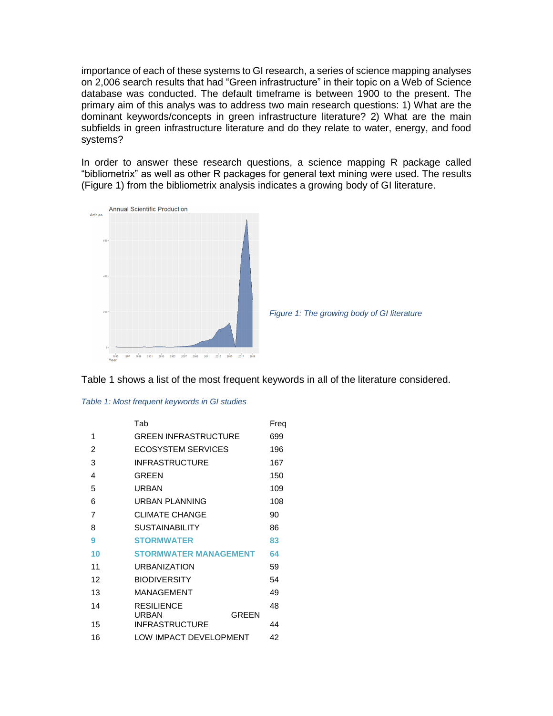importance of each of these systems to GI research, a series of science mapping analyses on 2,006 search results that had "Green infrastructure" in their topic on a Web of Science database was conducted. The default timeframe is between 1900 to the present. The primary aim of this analys was to address two main research questions: 1) What are the dominant keywords/concepts in green infrastructure literature? 2) What are the main subfields in green infrastructure literature and do they relate to water, energy, and food systems?

In order to answer these research questions, a science mapping R package called "bibliometrix" as well as other R packages for general text mining were used. The results (Figure 1) from the bibliometrix analysis indicates a growing body of GI literature.





Table 1 shows a list of the most frequent keywords in all of the literature considered.

| Table 1: Most frequent keywords in GI studies |  |  |  |  |  |  |  |  |
|-----------------------------------------------|--|--|--|--|--|--|--|--|
|-----------------------------------------------|--|--|--|--|--|--|--|--|

|                | Tab                          | Freq |
|----------------|------------------------------|------|
| 1              | <b>GREEN INFRASTRUCTURE</b>  | 699  |
| $\overline{2}$ | ECOSYSTEM SERVICES           | 196  |
| 3              | <b>INFRASTRUCTURE</b>        | 167  |
| 4              | <b>GREEN</b>                 | 150  |
| 5              | <b>URBAN</b>                 | 109  |
| 6              | URBAN PLANNING               | 108  |
| $\overline{7}$ | <b>CLIMATE CHANGE</b>        | 90   |
| 8              | <b>SUSTAINABILITY</b>        | 86   |
| 9              | <b>STORMWATER</b>            | 83   |
| 10             | <b>STORMWATER MANAGEMENT</b> | 64   |
| 11             | <b>URBANIZATION</b>          | 59   |
| 12             | <b>BIODIVERSITY</b>          | 54   |
| 13             | <b>MANAGEMENT</b>            | 49   |
| 14             | <b>RESILIENCE</b>            | 48   |
|                | <b>GREEN</b><br>URBAN        |      |
| 15             | <b>INFRASTRUCTURE</b>        | 44   |
| 16             | LOW IMPACT DEVELOPMENT       | 42   |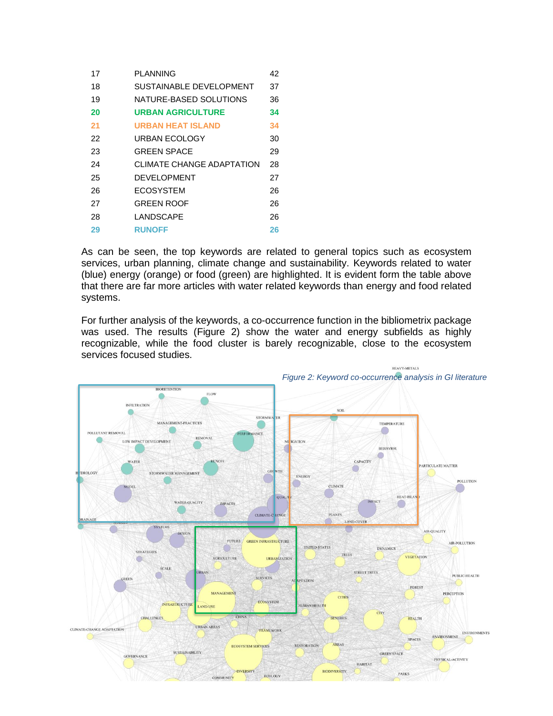| 17 | PLANNING                  | 42 |
|----|---------------------------|----|
| 18 | SUSTAINABLE DEVELOPMENT   | 37 |
| 19 | NATURE-BASED SOLUTIONS    | 36 |
| 20 | <b>URBAN AGRICULTURE</b>  | 34 |
| 21 | <b>URBAN HEAT ISLAND</b>  | 34 |
| 22 | URBAN FCOLOGY             | 30 |
| 23 | <b>GREEN SPACE</b>        | 29 |
| 24 | CLIMATE CHANGE ADAPTATION | 28 |
| 25 | DEVELOPMENT               | 27 |
| 26 | ECOSYSTEM                 | 26 |
| 27 | <b>GREEN ROOF</b>         | 26 |
| 28 | LANDSCAPE                 | 26 |
| 29 | <b>RUNOFF</b>             | 26 |

As can be seen, the top keywords are related to general topics such as ecosystem services, urban planning, climate change and sustainability. Keywords related to water (blue) energy (orange) or food (green) are highlighted. It is evident form the table above that there are far more articles with water related keywords than energy and food related systems.

For further analysis of the keywords, a co-occurrence function in the bibliometrix package was used. The results (Figure 2) show the water and energy subfields as highly recognizable, while the food cluster is barely recognizable, close to the ecosystem services focused studies.

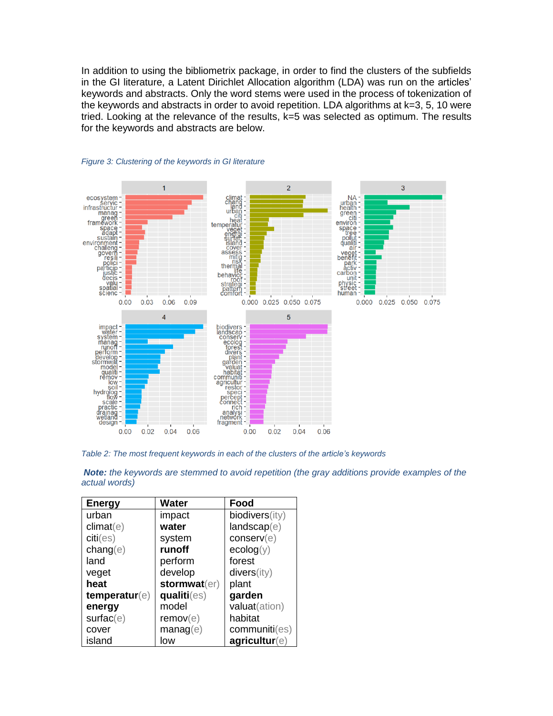In addition to using the bibliometrix package, in order to find the clusters of the subfields in the GI literature, a Latent Dirichlet Allocation algorithm (LDA) was run on the articles' keywords and abstracts. Only the word stems were used in the process of tokenization of the keywords and abstracts in order to avoid repetition. LDA algorithms at k=3, 5, 10 were tried. Looking at the relevance of the results, k=5 was selected as optimum. The results for the keywords and abstracts are below.





*Table 2: The most frequent keywords in each of the clusters of the article's keywords*

| <b>Energy</b>            | <b>Water</b>   | Food           |
|--------------------------|----------------|----------------|
| urban                    | impact         | biodivers(ity) |
| climat(e)                | water          | landscap(e)    |
| $\text{citi}(\text{es})$ | system         | conserv(e)     |
| change(e)                | runoff         | ecolog(y)      |
| land                     | perform        | forest         |
| veget                    | develop        | divers(ity)    |
| heat                     | stormwat(er)   | plant          |
| temperature(e)           | qualiti(es)    | garden         |
| energy                   | model          | valuat(ation)  |
| surface(e)               | remove(e)      | habitat        |
| cover                    | $m$ anag $(e)$ | communiti(es)  |
| island                   | low            | agricultur(e)  |

*Note: the keywords are stemmed to avoid repetition (the gray additions provide examples of the actual words)*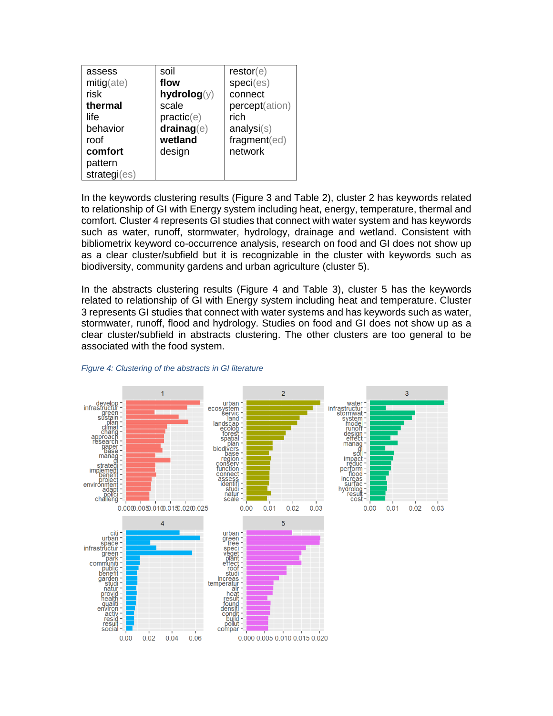| assess<br>$mitig$ (ate)<br>risk<br>thermal<br>life<br>behavior<br>roof<br>comfort<br>pattern<br>strategi(es) | soil<br>flow<br>hydrolog(y)<br>scale<br>practic(e)<br>drainag(e)<br>wetland<br>design | $\mathsf{restor}(\mathsf{e})$<br>species)<br>connect<br>percept(ation)<br>rich<br>analysis(s)<br>fragment(ed)<br>network |
|--------------------------------------------------------------------------------------------------------------|---------------------------------------------------------------------------------------|--------------------------------------------------------------------------------------------------------------------------|
|--------------------------------------------------------------------------------------------------------------|---------------------------------------------------------------------------------------|--------------------------------------------------------------------------------------------------------------------------|

In the keywords clustering results (Figure 3 and Table 2), cluster 2 has keywords related to relationship of GI with Energy system including heat, energy, temperature, thermal and comfort. Cluster 4 represents GI studies that connect with water system and has keywords such as water, runoff, stormwater, hydrology, drainage and wetland. Consistent with bibliometrix keyword co-occurrence analysis, research on food and GI does not show up as a clear cluster/subfield but it is recognizable in the cluster with keywords such as biodiversity, community gardens and urban agriculture (cluster 5).

In the abstracts clustering results (Figure 4 and Table 3), cluster 5 has the keywords related to relationship of GI with Energy system including heat and temperature. Cluster 3 represents GI studies that connect with water systems and has keywords such as water, stormwater, runoff, flood and hydrology. Studies on food and GI does not show up as a clear cluster/subfield in abstracts clustering. The other clusters are too general to be associated with the food system.



#### *Figure 4: Clustering of the abstracts in GI literature*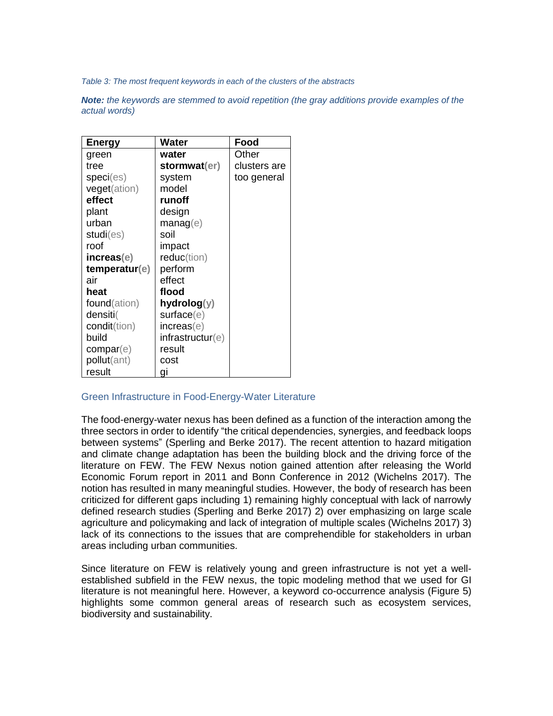*Table 3: The most frequent keywords in each of the clusters of the abstracts* 

*Note: the keywords are stemmed to avoid repetition (the gray additions provide examples of the actual words)*

| <b>Energy</b>        | Water            | Food         |
|----------------------|------------------|--------------|
| green                | water            | Other        |
| tree                 | stormwat(er)     | clusters are |
| spec(es)             | system           | too general  |
| <b>veget</b> (ation) | model            |              |
| effect               | runoff           |              |
| plant                | design           |              |
| urban                | $m$ anag $(e)$   |              |
| studi(es)            | soil             |              |
| roof                 | impact           |              |
| increas(e)           | reduc(tion)      |              |
| temperature(e)       | perform          |              |
| air                  | effect           |              |
| heat                 | flood            |              |
| found(ation)         | hydrolog(y)      |              |
| densiti(             | surface(e)       |              |
| <b>condit</b> (tion) | increase(e)      |              |
| build                | infrastructur(e) |              |
| compar(e)            | result           |              |
| pollut(ant)          | cost             |              |
| result               | gi               |              |

### Green Infrastructure in Food-Energy-Water Literature

The food-energy-water nexus has been defined as a function of the interaction among the three sectors in order to identify "the critical dependencies, synergies, and feedback loops between systems" (Sperling and Berke 2017). The recent attention to hazard mitigation and climate change adaptation has been the building block and the driving force of the literature on FEW. The FEW Nexus notion gained attention after releasing the World Economic Forum report in 2011 and Bonn Conference in 2012 (Wichelns 2017). The notion has resulted in many meaningful studies. However, the body of research has been criticized for different gaps including 1) remaining highly conceptual with lack of narrowly defined research studies (Sperling and Berke 2017) 2) over emphasizing on large scale agriculture and policymaking and lack of integration of multiple scales (Wichelns 2017) 3) lack of its connections to the issues that are comprehendible for stakeholders in urban areas including urban communities.

Since literature on FEW is relatively young and green infrastructure is not yet a wellestablished subfield in the FEW nexus, the topic modeling method that we used for GI literature is not meaningful here. However, a keyword co-occurrence analysis (Figure 5) highlights some common general areas of research such as ecosystem services, biodiversity and sustainability.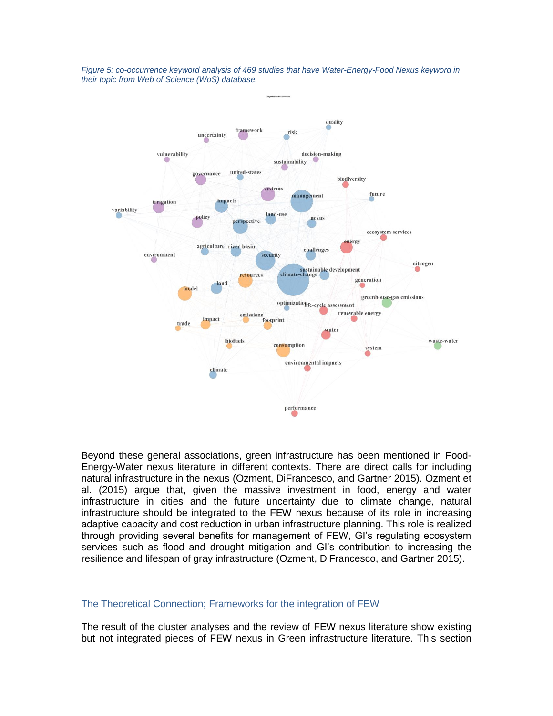

*Figure 5: co-occurrence keyword analysis of 469 studies that have Water-Energy-Food Nexus keyword in their topic from Web of Science (WoS) database.*

Beyond these general associations, green infrastructure has been mentioned in Food-Energy-Water nexus literature in different contexts. There are direct calls for including natural infrastructure in the nexus (Ozment, DiFrancesco, and Gartner 2015). Ozment et al. (2015) argue that, given the massive investment in food, energy and water infrastructure in cities and the future uncertainty due to climate change, natural infrastructure should be integrated to the FEW nexus because of its role in increasing adaptive capacity and cost reduction in urban infrastructure planning. This role is realized through providing several benefits for management of FEW, GI's regulating ecosystem services such as flood and drought mitigation and GI's contribution to increasing the resilience and lifespan of gray infrastructure (Ozment, DiFrancesco, and Gartner 2015).

#### The Theoretical Connection; Frameworks for the integration of FEW

The result of the cluster analyses and the review of FEW nexus literature show existing but not integrated pieces of FEW nexus in Green infrastructure literature. This section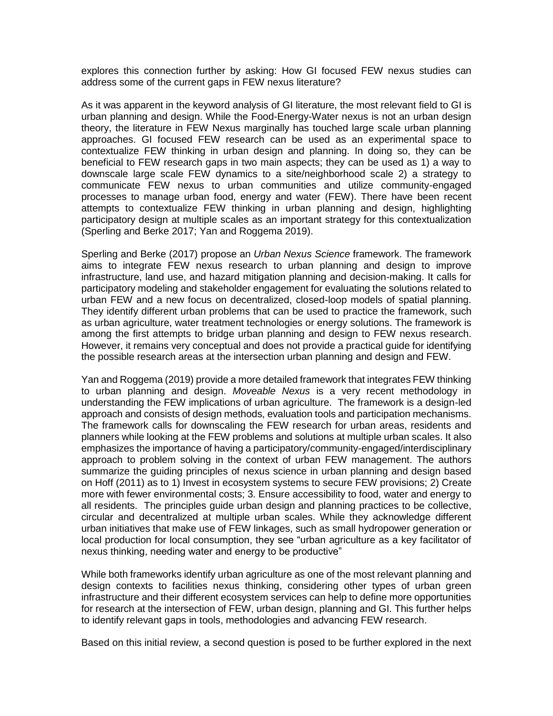explores this connection further by asking: How GI focused FEW nexus studies can address some of the current gaps in FEW nexus literature?

As it was apparent in the keyword analysis of GI literature, the most relevant field to GI is urban planning and design. While the Food-Energy-Water nexus is not an urban design theory, the literature in FEW Nexus marginally has touched large scale urban planning approaches. GI focused FEW research can be used as an experimental space to contextualize FEW thinking in urban design and planning. In doing so, they can be beneficial to FEW research gaps in two main aspects; they can be used as 1) a way to downscale large scale FEW dynamics to a site/neighborhood scale 2) a strategy to communicate FEW nexus to urban communities and utilize community-engaged processes to manage urban food, energy and water (FEW). There have been recent attempts to contextualize FEW thinking in urban planning and design, highlighting participatory design at multiple scales as an important strategy for this contextualization (Sperling and Berke 2017; Yan and Roggema 2019).

Sperling and Berke (2017) propose an *Urban Nexus Science* framework. The framework aims to integrate FEW nexus research to urban planning and design to improve infrastructure, land use, and hazard mitigation planning and decision-making. It calls for participatory modeling and stakeholder engagement for evaluating the solutions related to urban FEW and a new focus on decentralized, closed-loop models of spatial planning. They identify different urban problems that can be used to practice the framework, such as urban agriculture, water treatment technologies or energy solutions. The framework is among the first attempts to bridge urban planning and design to FEW nexus research. However, it remains very conceptual and does not provide a practical guide for identifying the possible research areas at the intersection urban planning and design and FEW.

Yan and Roggema (2019) provide a more detailed framework that integrates FEW thinking to urban planning and design. *Moveable Nexus* is a very recent methodology in understanding the FEW implications of urban agriculture. The framework is a design-led approach and consists of design methods, evaluation tools and participation mechanisms. The framework calls for downscaling the FEW research for urban areas, residents and planners while looking at the FEW problems and solutions at multiple urban scales. It also emphasizes the importance of having a participatory/community-engaged/interdisciplinary approach to problem solving in the context of urban FEW management. The authors summarize the guiding principles of nexus science in urban planning and design based on Hoff (2011) as to 1) Invest in ecosystem systems to secure FEW provisions; 2) Create more with fewer environmental costs; 3. Ensure accessibility to food, water and energy to all residents. The principles guide urban design and planning practices to be collective, circular and decentralized at multiple urban scales. While they acknowledge different urban initiatives that make use of FEW linkages, such as small hydropower generation or local production for local consumption, they see "urban agriculture as a key facilitator of nexus thinking, needing water and energy to be productive"

While both frameworks identify urban agriculture as one of the most relevant planning and design contexts to facilities nexus thinking, considering other types of urban green infrastructure and their different ecosystem services can help to define more opportunities for research at the intersection of FEW, urban design, planning and GI. This further helps to identify relevant gaps in tools, methodologies and advancing FEW research.

Based on this initial review, a second question is posed to be further explored in the next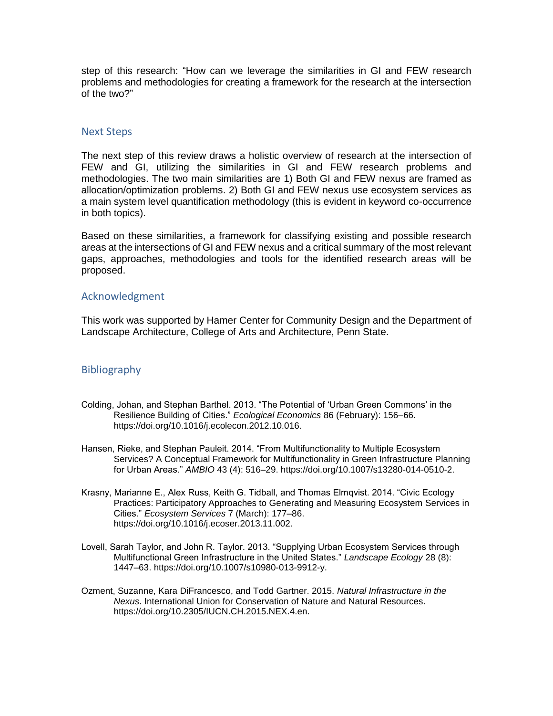step of this research: "How can we leverage the similarities in GI and FEW research problems and methodologies for creating a framework for the research at the intersection of the two?"

## Next Steps

The next step of this review draws a holistic overview of research at the intersection of FEW and GI, utilizing the similarities in GI and FEW research problems and methodologies. The two main similarities are 1) Both GI and FEW nexus are framed as allocation/optimization problems. 2) Both GI and FEW nexus use ecosystem services as a main system level quantification methodology (this is evident in keyword co-occurrence in both topics).

Based on these similarities, a framework for classifying existing and possible research areas at the intersections of GI and FEW nexus and a critical summary of the most relevant gaps, approaches, methodologies and tools for the identified research areas will be proposed.

### Acknowledgment

This work was supported by Hamer Center for Community Design and the Department of Landscape Architecture, College of Arts and Architecture, Penn State.

# Bibliography

- Colding, Johan, and Stephan Barthel. 2013. "The Potential of 'Urban Green Commons' in the Resilience Building of Cities." *Ecological Economics* 86 (February): 156–66. https://doi.org/10.1016/j.ecolecon.2012.10.016.
- Hansen, Rieke, and Stephan Pauleit. 2014. "From Multifunctionality to Multiple Ecosystem Services? A Conceptual Framework for Multifunctionality in Green Infrastructure Planning for Urban Areas." *AMBIO* 43 (4): 516–29. https://doi.org/10.1007/s13280-014-0510-2.
- Krasny, Marianne E., Alex Russ, Keith G. Tidball, and Thomas Elmqvist. 2014. "Civic Ecology Practices: Participatory Approaches to Generating and Measuring Ecosystem Services in Cities." *Ecosystem Services* 7 (March): 177–86. https://doi.org/10.1016/j.ecoser.2013.11.002.
- Lovell, Sarah Taylor, and John R. Taylor. 2013. "Supplying Urban Ecosystem Services through Multifunctional Green Infrastructure in the United States." *Landscape Ecology* 28 (8): 1447–63. https://doi.org/10.1007/s10980-013-9912-y.
- Ozment, Suzanne, Kara DiFrancesco, and Todd Gartner. 2015. *Natural Infrastructure in the Nexus*. International Union for Conservation of Nature and Natural Resources. https://doi.org/10.2305/IUCN.CH.2015.NEX.4.en.